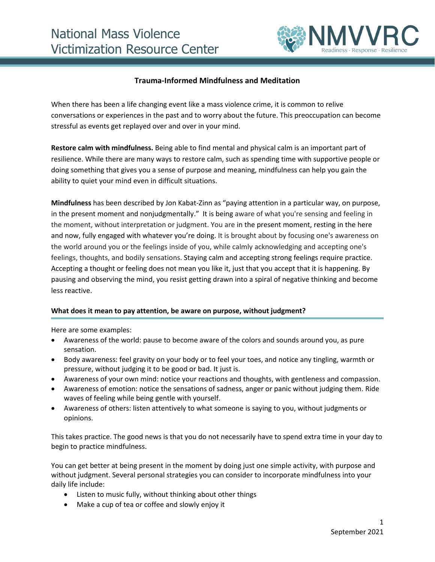

## **Trauma-Informed Mindfulness and Meditation**

When there has been a life changing event like a mass violence crime, it is common to relive conversations or experiences in the past and to worry about the future. This preoccupation can become stressful as events get replayed over and over in your mind.

**Restore calm with mindfulness.** Being able to find mental and physical calm is an important part of resilience. While there are many ways to restore calm, such as spending time with supportive people or doing something that gives you a sense of purpose and meaning, mindfulness can help you gain the ability to quiet your mind even in difficult situations.

**Mindfulness** has been described by Jon Kabat-Zinn as "paying attention in a particular way, on purpose, in the present moment and nonjudgmentally." It is being aware of what you're sensing and feeling in the moment, without interpretation or judgment. You are in the present moment, resting in the here and now, fully engaged with whatever you're doing. It is brought about by focusing one's awareness on the world around you or the feelings inside of you, while calmly acknowledging and accepting one's feelings, thoughts, and bodily sensations. Staying calm and accepting strong feelings require practice. Accepting a thought or feeling does not mean you like it, just that you accept that it is happening. By pausing and observing the mind, you resist getting drawn into a spiral of negative thinking and become less reactive.

## **What does it mean to pay attention, be aware on purpose, without judgment?**

Here are some examples:

- Awareness of the world: pause to become aware of the colors and sounds around you, as pure sensation.
- Body awareness: feel gravity on your body or to feel your toes, and notice any tingling, warmth or pressure, without judging it to be good or bad. It just is.
- Awareness of your own mind: notice your reactions and thoughts, with gentleness and compassion.
- Awareness of emotion: notice the sensations of sadness, anger or panic without judging them. Ride waves of feeling while being gentle with yourself.
- Awareness of others: listen attentively to what someone is saying to you, without judgments or opinions.

This takes practice. The good news is that you do not necessarily have to spend extra time in your day to begin to practice mindfulness.

You can get better at being present in the moment by doing just one simple activity, with purpose and without judgment. Several personal strategies you can consider to incorporate mindfulness into your daily life include:

- Listen to music fully, without thinking about other things
- Make a cup of tea or coffee and slowly enjoy it